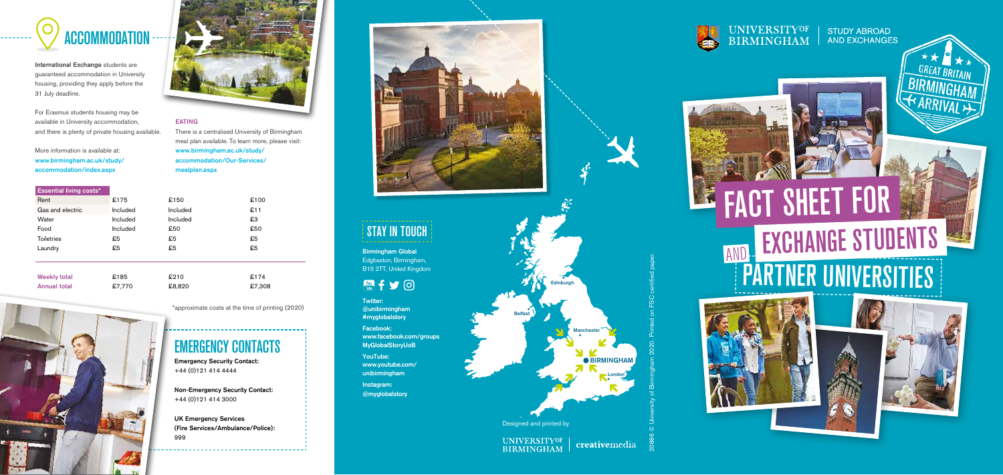





International Exchange students are guaranteed accommodation in University housing, providing they apply before the 31 July deadline.

For Erasmus students housing may be available in University accommodation, and there is plenty of private housing available.

More information is available at: <www.birmingham.ac.uk/study>/ accommodation/index.aspx

Weekly total  $\textcolor{red}{\bullet}$  £185 Annual total £7,770

#### EATING

There is a centralised University of Birmingham meal plan available. To learn more, please visit: <www.birmingham.ac.uk/study>/ accommodation/Our-Services/ mealplan.aspx

 $£100$ 

| <b>Essential living costs*</b> |          |        |
|--------------------------------|----------|--------|
| Rent                           | £175     | £150   |
| Gas and electric               | Included | Includ |
| Water                          | Included | Includ |
| Food                           | Included | £50    |
| Toiletries                     | £5       | £5     |
| Laundry                        | £5.      | £5     |
|                                |          |        |
|                                |          |        |



£210 £174





£8,820 £7,308

Emergency Security Contact: +44 (0)121 414 4444

Non-Emergency Security Contact: +44 (0)121 414 3000

UK Emergency Services (Fire Services/Ambulance/Police): 999



Belfast





creativemedia

**BIRMINGHAM** 

**London** 



# UNIVERSITYOF

**STUDY ABROAD** AND EXCHANGES



Manchester

# STAY IN TOUCH

Birmingham Global Edgbaston, Birmingham, B15 2TT, United Kingdom

 $M + Y$ 

Twitter: @unibirmingham #myglobalstory

Facebook: <www.facebook.com/groups> MyGlobalStoryUoB

YouTube: <www.youtube.com>/ unibirmingham

Instagram: @myglobalstory

Designed and printed by

**Edinbu** 

20886 © University of Birmingham 2020. Printed on FSC certifed paper.